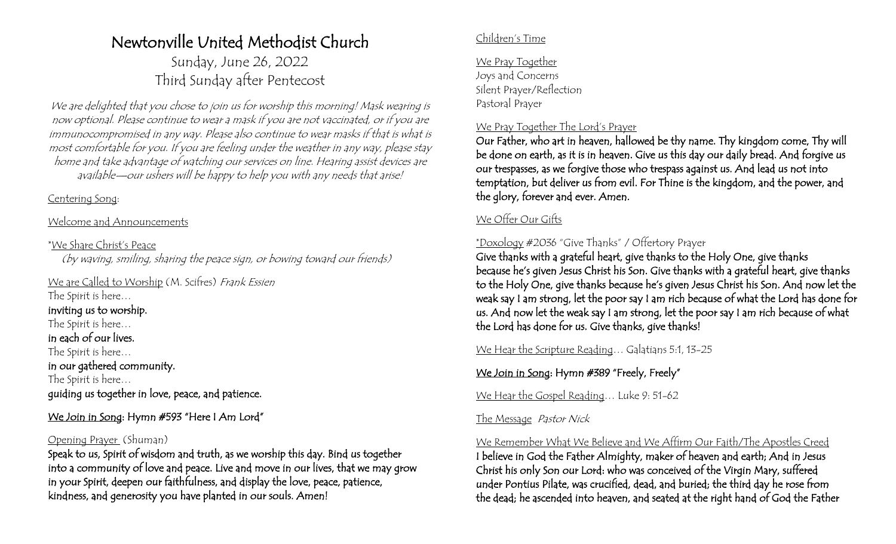# Newtonville United Methodist Church

Sunday, June 26, 2022 Third Sunday after Pentecost

We are delighted that you chose to join us for worship this morning! Mask wearing is now optional. Please continue to wear a mask if you are not vaccinated, or if you are immunocompromised in any way. Please also continue to wear masks if that is what is most comfortable for you. If you are feeling under the weather in any way, please stay home and take advantage of watching our services on line. Hearing assist devices are available—our ushers will be happy to help you with any needs that arise!

#### Centering Song:

#### Welcome and Announcements

#### \*We Share Christ's Peace

(by waving, smiling, sharing the peace sign, or bowing toward our friends)

We are Called to Worship (M. Scifres) Frank Essien The Spirit is here…

### inviting us to worship.

The Spirit is here… in each of our lives.

The Spirit is here…

in our gathered community.

The Spirit is here… guiding us together in love, peace, and patience.

We Join in Song: Hymn #593 "Here I Am Lord"

### Opening Prayer (Shuman)

Speak to us, Spirit of wisdom and truth, as we worship this day. Bind us together into a community of love and peace. Live and move in our lives, that we may grow in your Spirit, deepen our faithfulness, and display the love, peace, patience, kindness, and generosity you have planted in our souls. Amen!

#### Children's Time

We Pray Together Joys and Concerns Silent Prayer/Reflection Pastoral Prayer

#### We Pray Together The Lord's Prayer

Our Father, who art in heaven, hallowed be thy name. Thy kingdom come, Thy will be done on earth, as it is in heaven. Give us this day our daily bread. And forgive us our trespasses, as we forgive those who trespass against us. And lead us not into temptation, but deliver us from evil. For Thine is the kingdom, and the power, and the glory, forever and ever. Amen.

# We Offer Our Gifts

## \*Doxology #2036 "Give Thanks" / Offertory Prayer

Give thanks with a grateful heart, give thanks to the Holy One, give thanks because he's given Jesus Christ his Son. Give thanks with a grateful heart, give thanks to the Holy One, give thanks because he's given Jesus Christ his Son. And now let the weak say I am strong, let the poor say I am rich because of what the Lord has done for us. And now let the weak say I am strong, let the poor say I am rich because of what the Lord has done for us. Give thanks, give thanks!

We Hear the Scripture Reading... Galatians 5:1, 13-25

# We Join in Song: Hymn #389 "Freely, Freely"

We Hear the Gospel Reading... Luke 9: 51-62

#### The Message Pastor Nick

We Remember What We Believe and We Affirm Our Faith/The Apostles Creed I believe in God the Father Almighty, maker of heaven and earth; And in Jesus Christ his only Son our Lord: who was conceived of the Virgin Mary, suffered under Pontius Pilate, was crucified, dead, and buried; the third day he rose from the dead; he ascended into heaven, and seated at the right hand of God the Father